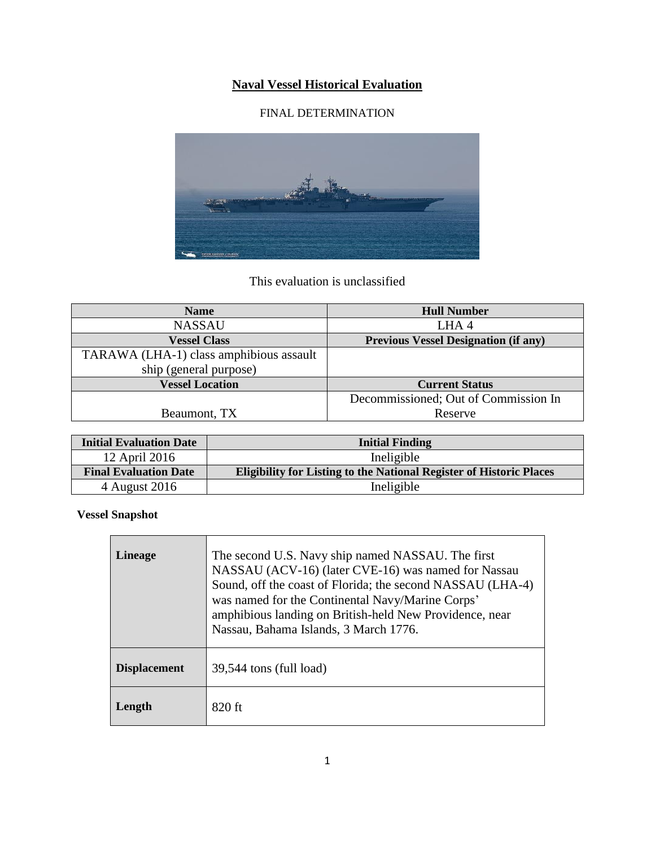# **Naval Vessel Historical Evaluation**

### FINAL DETERMINATION



#### This evaluation is unclassified

| <b>Name</b>                             | <b>Hull Number</b>                          |
|-----------------------------------------|---------------------------------------------|
| <b>NASSAU</b>                           | LHA4                                        |
| <b>Vessel Class</b>                     | <b>Previous Vessel Designation (if any)</b> |
| TARAWA (LHA-1) class amphibious assault |                                             |
| ship (general purpose)                  |                                             |
| <b>Vessel Location</b>                  | <b>Current Status</b>                       |
|                                         | Decommissioned; Out of Commission In        |
| Beaumont, TX                            | Reserve                                     |

| <b>Initial Evaluation Date</b> | <b>Initial Finding</b>                                                     |
|--------------------------------|----------------------------------------------------------------------------|
| 12 April 2016                  | Ineligible                                                                 |
| <b>Final Evaluation Date</b>   | <b>Eligibility for Listing to the National Register of Historic Places</b> |
| 4 August 2016                  | Ineligible                                                                 |

٦

**Vessel Snapshot** 

| Lineage             | The second U.S. Navy ship named NASSAU. The first<br>NASSAU (ACV-16) (later CVE-16) was named for Nassau<br>Sound, off the coast of Florida; the second NASSAU (LHA-4)<br>was named for the Continental Navy/Marine Corps'<br>amphibious landing on British-held New Providence, near<br>Nassau, Bahama Islands, 3 March 1776. |
|---------------------|--------------------------------------------------------------------------------------------------------------------------------------------------------------------------------------------------------------------------------------------------------------------------------------------------------------------------------|
| <b>Displacement</b> | $39,544$ tons (full load)                                                                                                                                                                                                                                                                                                      |
| Length              | 820 ft                                                                                                                                                                                                                                                                                                                         |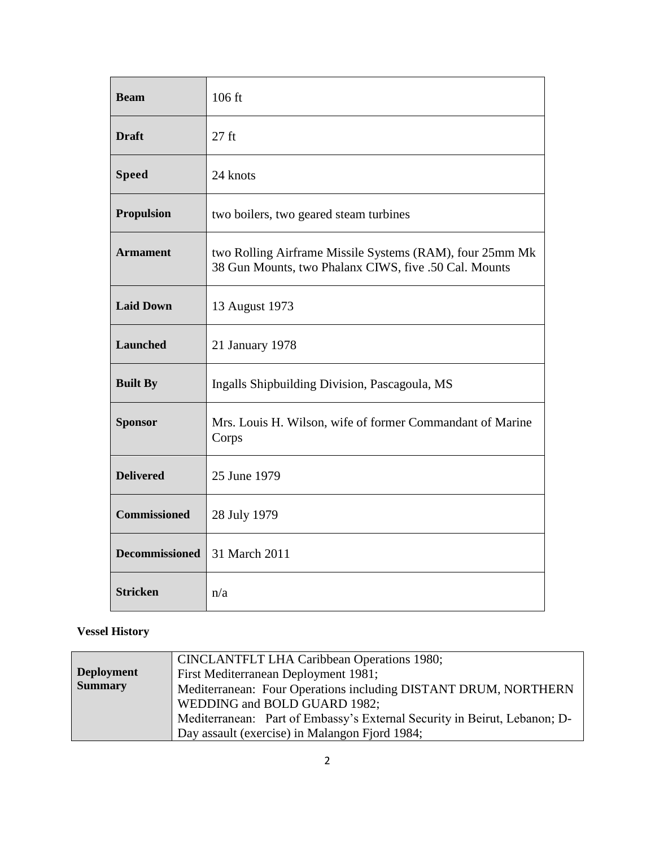| <b>Beam</b>           | 106 ft                                                                                                            |
|-----------------------|-------------------------------------------------------------------------------------------------------------------|
| <b>Draft</b>          | $27$ ft                                                                                                           |
| <b>Speed</b>          | 24 knots                                                                                                          |
| <b>Propulsion</b>     | two boilers, two geared steam turbines                                                                            |
| <b>Armament</b>       | two Rolling Airframe Missile Systems (RAM), four 25mm Mk<br>38 Gun Mounts, two Phalanx CIWS, five .50 Cal. Mounts |
| <b>Laid Down</b>      | 13 August 1973                                                                                                    |
| <b>Launched</b>       | 21 January 1978                                                                                                   |
| <b>Built By</b>       | Ingalls Shipbuilding Division, Pascagoula, MS                                                                     |
| <b>Sponsor</b>        | Mrs. Louis H. Wilson, wife of former Commandant of Marine<br>Corps                                                |
| <b>Delivered</b>      | 25 June 1979                                                                                                      |
| <b>Commissioned</b>   | 28 July 1979                                                                                                      |
| <b>Decommissioned</b> | 31 March 2011                                                                                                     |
| <b>Stricken</b>       | n/a                                                                                                               |

### **Vessel History**

| <b>Deployment</b><br><b>Summary</b> | <b>CINCLANTFLT LHA Caribbean Operations 1980;</b><br>First Mediterranean Deployment 1981;<br>Mediterranean: Four Operations including DISTANT DRUM, NORTHERN<br>WEDDING and BOLD GUARD 1982;<br>Mediterranean: Part of Embassy's External Security in Beirut, Lebanon; D-<br>Day assault (exercise) in Malangon Fjord 1984; |
|-------------------------------------|-----------------------------------------------------------------------------------------------------------------------------------------------------------------------------------------------------------------------------------------------------------------------------------------------------------------------------|
|-------------------------------------|-----------------------------------------------------------------------------------------------------------------------------------------------------------------------------------------------------------------------------------------------------------------------------------------------------------------------------|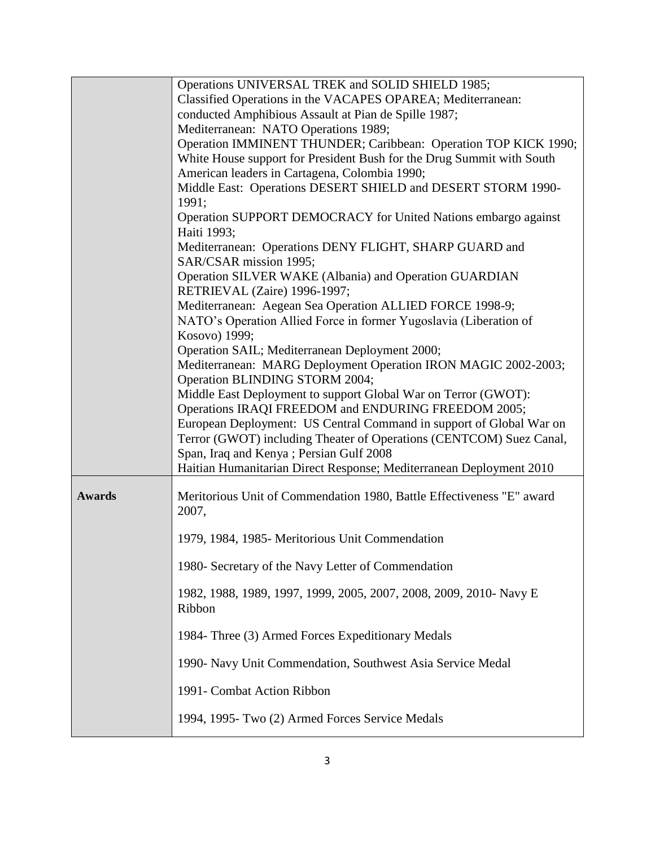|               | Operations UNIVERSAL TREK and SOLID SHIELD 1985;                             |
|---------------|------------------------------------------------------------------------------|
|               | Classified Operations in the VACAPES OPAREA; Mediterranean:                  |
|               | conducted Amphibious Assault at Pian de Spille 1987;                         |
|               | Mediterranean: NATO Operations 1989;                                         |
|               | Operation IMMINENT THUNDER; Caribbean: Operation TOP KICK 1990;              |
|               | White House support for President Bush for the Drug Summit with South        |
|               | American leaders in Cartagena, Colombia 1990;                                |
|               | Middle East: Operations DESERT SHIELD and DESERT STORM 1990-                 |
|               | 1991;<br>Operation SUPPORT DEMOCRACY for United Nations embargo against      |
|               | Haiti 1993;                                                                  |
|               | Mediterranean: Operations DENY FLIGHT, SHARP GUARD and                       |
|               | SAR/CSAR mission 1995;                                                       |
|               | Operation SILVER WAKE (Albania) and Operation GUARDIAN                       |
|               | RETRIEVAL (Zaire) 1996-1997;                                                 |
|               | Mediterranean: Aegean Sea Operation ALLIED FORCE 1998-9;                     |
|               | NATO's Operation Allied Force in former Yugoslavia (Liberation of            |
|               | Kosovo) 1999;                                                                |
|               | Operation SAIL; Mediterranean Deployment 2000;                               |
|               | Mediterranean: MARG Deployment Operation IRON MAGIC 2002-2003;               |
|               | <b>Operation BLINDING STORM 2004;</b>                                        |
|               | Middle East Deployment to support Global War on Terror (GWOT):               |
|               | Operations IRAQI FREEDOM and ENDURING FREEDOM 2005;                          |
|               | European Deployment: US Central Command in support of Global War on          |
|               | Terror (GWOT) including Theater of Operations (CENTCOM) Suez Canal,          |
|               | Span, Iraq and Kenya; Persian Gulf 2008                                      |
|               | Haitian Humanitarian Direct Response; Mediterranean Deployment 2010          |
| <b>Awards</b> | Meritorious Unit of Commendation 1980, Battle Effectiveness "E" award        |
|               | 2007,                                                                        |
|               |                                                                              |
|               | 1979, 1984, 1985- Meritorious Unit Commendation                              |
|               | 1980- Secretary of the Navy Letter of Commendation                           |
|               | 1982, 1988, 1989, 1997, 1999, 2005, 2007, 2008, 2009, 2010- Navy E<br>Ribbon |
|               | 1984- Three (3) Armed Forces Expeditionary Medals                            |
|               | 1990- Navy Unit Commendation, Southwest Asia Service Medal                   |
|               | 1991- Combat Action Ribbon                                                   |
|               |                                                                              |
|               | 1994, 1995- Two (2) Armed Forces Service Medals                              |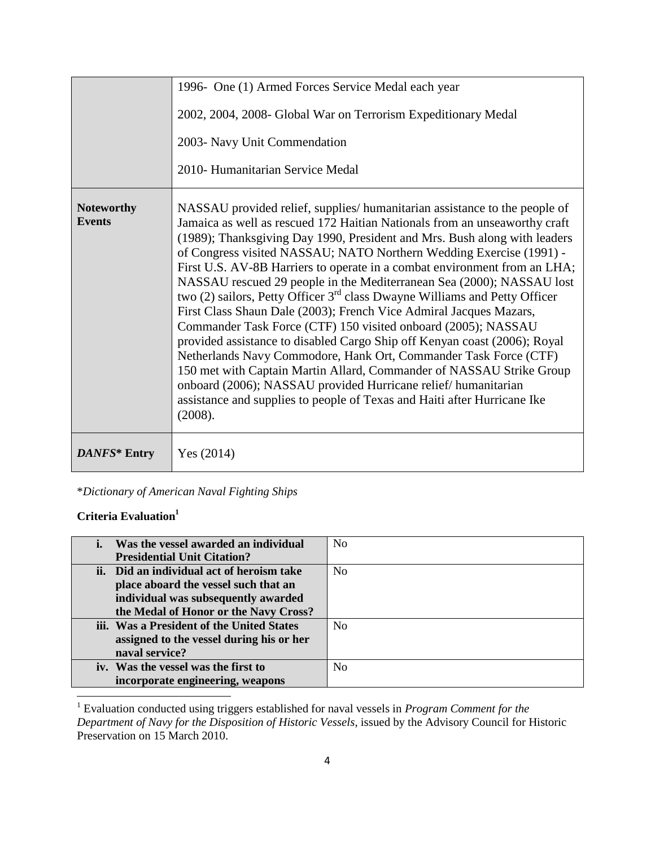|                                    | 1996- One (1) Armed Forces Service Medal each year<br>2002, 2004, 2008- Global War on Terrorism Expeditionary Medal<br>2003- Navy Unit Commendation<br>2010- Humanitarian Service Medal                                                                                                                                                                                                                                                                                                                                                                                                                                                                                                                                                                                                                                                                                                                                                                                                                                                                                      |
|------------------------------------|------------------------------------------------------------------------------------------------------------------------------------------------------------------------------------------------------------------------------------------------------------------------------------------------------------------------------------------------------------------------------------------------------------------------------------------------------------------------------------------------------------------------------------------------------------------------------------------------------------------------------------------------------------------------------------------------------------------------------------------------------------------------------------------------------------------------------------------------------------------------------------------------------------------------------------------------------------------------------------------------------------------------------------------------------------------------------|
| <b>Noteworthy</b><br><b>Events</b> | NASSAU provided relief, supplies/ humanitarian assistance to the people of<br>Jamaica as well as rescued 172 Haitian Nationals from an unseaworthy craft<br>(1989); Thanksgiving Day 1990, President and Mrs. Bush along with leaders<br>of Congress visited NASSAU; NATO Northern Wedding Exercise (1991) -<br>First U.S. AV-8B Harriers to operate in a combat environment from an LHA;<br>NASSAU rescued 29 people in the Mediterranean Sea (2000); NASSAU lost<br>two $(2)$ sailors, Petty Officer $3rd$ class Dwayne Williams and Petty Officer<br>First Class Shaun Dale (2003); French Vice Admiral Jacques Mazars,<br>Commander Task Force (CTF) 150 visited onboard (2005); NASSAU<br>provided assistance to disabled Cargo Ship off Kenyan coast (2006); Royal<br>Netherlands Navy Commodore, Hank Ort, Commander Task Force (CTF)<br>150 met with Captain Martin Allard, Commander of NASSAU Strike Group<br>onboard (2006); NASSAU provided Hurricane relief/humanitarian<br>assistance and supplies to people of Texas and Haiti after Hurricane Ike<br>(2008). |
| DANFS* Entry                       | Yes $(2014)$                                                                                                                                                                                                                                                                                                                                                                                                                                                                                                                                                                                                                                                                                                                                                                                                                                                                                                                                                                                                                                                                 |

\**Dictionary of American Naval Fighting Ships*

## **Criteria Evaluation<sup>1</sup>**

 $\overline{a}$ 

| N <sub>0</sub> |
|----------------|
|                |
| N <sub>0</sub> |
|                |
|                |
|                |
| N <sub>0</sub> |
|                |
|                |
| N <sub>0</sub> |
|                |
|                |

<sup>1</sup> Evaluation conducted using triggers established for naval vessels in *Program Comment for the Department of Navy for the Disposition of Historic Vessels*, issued by the Advisory Council for Historic Preservation on 15 March 2010.